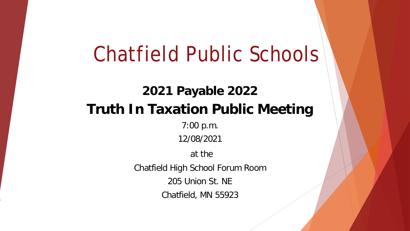#### **2021 Payable 2022 Truth In Taxation Public Meeting**

7:00 p.m.

12/08/2021

at the

Chatfield High School Forum Room

205 Union St. NE

Chatfield, MN 55923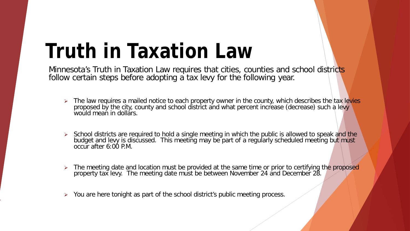## **Truth in Taxation Law**

Minnesota's Truth in Taxation Law requires that cities, counties and school districts follow certain steps before adopting a tax levy for the following year.

- > The law requires a mailed notice to each property owner in the county, which describes the tax levies proposed by the city, county and school district and what percent increase (decrease) such a levy would mean in dollars.
- School districts are required to hold a single meeting in which the public is allowed to speak and the budget and levy is discussed. This meeting may be part of a regularly scheduled meeting but must occur after 6:00 P.M.
- $\triangleright$  The meeting date and location must be provided at the same time or prior to certifying the proposed property tax levy. The meeting date must be between November 24 and December 28.
- ▶ You are here tonight as part of the school district's public meeting process.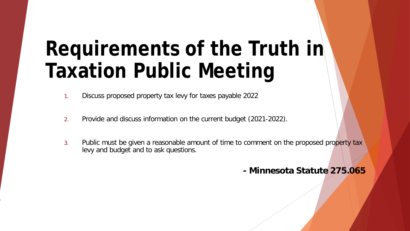# **Requirements of the Truth in Taxation Public Meeting**

- 1. Discuss proposed property tax levy for taxes payable 2022
- 2. Provide and discuss information on the current budget (2021-2022).
- 3. Public must be given a reasonable amount of time to comment on the proposed property tax levy and budget and to ask questions.

#### **- Minnesota Statute 275.065**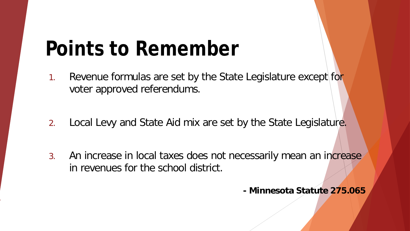## **Points to Remember**

- 1. Revenue formulas are set by the State Legislature except for voter approved referendums.
- 2. Local Levy and State Aid mix are set by the State Legislature.
- 3. An increase in local taxes does not necessarily mean an increase in revenues for the school district.

**- Minnesota Statute 275.065**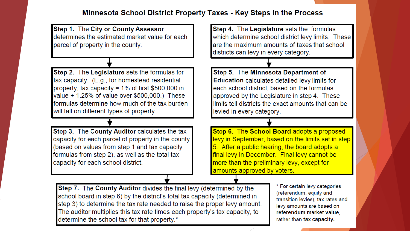#### Minnesota School District Property Taxes - Key Steps in the Process

Step 1. The City or County Assessor Step 4. The Legislature sets the formulas determines the estimated market value for each which determine school district levy limits. These are the maximum amounts of taxes that school parcel of property in the county. districts can levy in every category. Step 5. The Minnesota Department of Step 2. The Legislature sets the formulas for tax capacity. (E.g., for homestead residential **Education calculates detailed levy limits for** property, tax capacity =  $1\%$  of first \$500,000 in each school district, based on the formulas value + 1.25% of value over \$500,000.) These approved by the Legislature in step 4. These formulas determine how much of the tax burden limits tell districts the exact amounts that can be will fall on different types of property. levied in every category. Step 6. The School Board adopts a proposed Step 3. The County Auditor calculates the tax levy in September, based on the limits set in step capacity for each parcel of property in the county (based on values from step 1 and tax capacity 5. After a public hearing, the board adopts a final levy in December. Final levy cannot be formulas from step 2), as well as the total tax more than the preliminary levy, except for capacity for each school district. amounts approved by voters.

Step 7. The County Auditor divides the final levy (determined by the school board in step 6) by the district's total tax capacity (determined in step 3) to determine the tax rate needed to raise the proper levy amount. The auditor multiplies this tax rate times each property's tax capacity, to determine the school tax for that property.\*

\* For certain levy categories (referendum, equity and transition levies), tax rates and levy amounts are based on referendum market value, rather than tax capacity.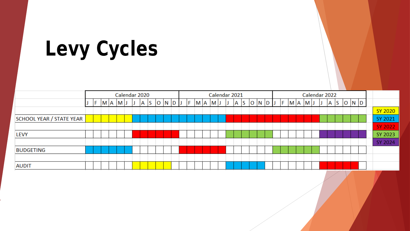| Levy Cycles |  |  |
|-------------|--|--|
|-------------|--|--|

|                          |  |  |  |         |        | Calendar 2020 |  |  |              |  |  |  |  |  | Calendar 2021           |  |              |  | Calendar 2022    |  |  |     |  |  |           |  |  |  |            |       |  |  |                |  |
|--------------------------|--|--|--|---------|--------|---------------|--|--|--------------|--|--|--|--|--|-------------------------|--|--------------|--|------------------|--|--|-----|--|--|-----------|--|--|--|------------|-------|--|--|----------------|--|
|                          |  |  |  | M A M J | $\Box$ |               |  |  | $A \ S$ ONDJ |  |  |  |  |  | $F$ $M$ $A$ $M$ $J$ $J$ |  | $\mathsf{A}$ |  | $ S $ O $ N D J$ |  |  | IF. |  |  | $M A$ $M$ |  |  |  | $A \mid S$ | O N D |  |  |                |  |
|                          |  |  |  |         |        |               |  |  |              |  |  |  |  |  |                         |  |              |  |                  |  |  |     |  |  |           |  |  |  |            |       |  |  | SY 2020        |  |
| SCHOOL YEAR / STATE YEAR |  |  |  |         |        |               |  |  |              |  |  |  |  |  |                         |  |              |  |                  |  |  |     |  |  |           |  |  |  |            |       |  |  | SY 2021        |  |
|                          |  |  |  |         |        |               |  |  |              |  |  |  |  |  |                         |  |              |  |                  |  |  |     |  |  |           |  |  |  |            |       |  |  | <b>SY 2022</b> |  |
| <b>LEVY</b>              |  |  |  |         |        |               |  |  |              |  |  |  |  |  |                         |  |              |  |                  |  |  |     |  |  |           |  |  |  |            |       |  |  | SY 2023        |  |
|                          |  |  |  |         |        |               |  |  |              |  |  |  |  |  |                         |  |              |  |                  |  |  |     |  |  |           |  |  |  |            |       |  |  | SY 2024        |  |
| <b>BUDGETING</b>         |  |  |  |         |        |               |  |  |              |  |  |  |  |  |                         |  |              |  |                  |  |  |     |  |  |           |  |  |  |            |       |  |  |                |  |
|                          |  |  |  |         |        |               |  |  |              |  |  |  |  |  |                         |  |              |  |                  |  |  |     |  |  |           |  |  |  |            |       |  |  |                |  |
| <b>AUDIT</b>             |  |  |  |         |        |               |  |  |              |  |  |  |  |  |                         |  |              |  |                  |  |  |     |  |  |           |  |  |  |            |       |  |  |                |  |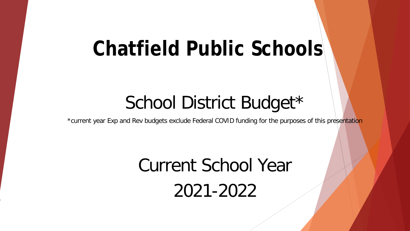#### School District Budget\*

\*current year Exp and Rev budgets exclude Federal COVID funding for the purposes of this presentation

## Current School Year 2021-2022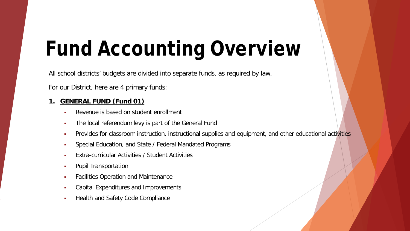# **Fund Accounting Overview**

All school districts' budgets are divided into separate funds, as required by law.

For our District, here are 4 primary funds:

#### **1. GENERAL FUND (Fund 01)**

- Revenue is based on student enrollment
- The local referendum levy is part of the General Fund
- Provides for classroom instruction, instructional supplies and equipment, and other educational activities
- **Special Education, and State / Federal Mandated Programs**
- Extra-curricular Activities / Student Activities
- Pupil Transportation
- Facilities Operation and Maintenance
- Capital Expenditures and Improvements
- Health and Safety Code Compliance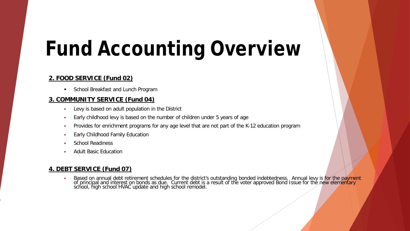# **Fund Accounting Overview**

#### **2. FOOD SERVICE (Fund 02)**

**School Breakfast and Lunch Program** 

#### **3. COMMUNITY SERVICE (Fund 04)**

- Levy is based on adult population in the District
- Early childhood levy is based on the number of children under 5 years of age
- **Provides for enrichment programs for any age level that are not part of the K-12 education program**
- Early Childhood Family Education
- School Readiness
- Adult Basic Education

#### **4. DEBT SERVICE (Fund 07)**

**•** Based on annual debt retirement schedules for the district's outstanding bonded indebtedness. Annual levy is for the payment of principal and interest on bonds as due. Current debt is a result of the voter approved Bond Issue for the new elementary school, high school HVAC update and high school remodel.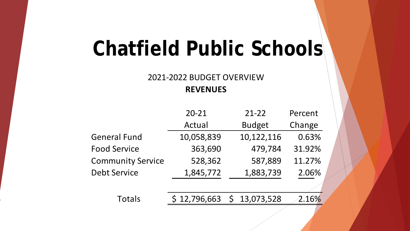#### 2021-2022 BUDGET OVERVIEW **REVENUES**

|                          | $20 - 21$    | $21 - 22$     | Percent |
|--------------------------|--------------|---------------|---------|
|                          | Actual       | <b>Budget</b> | Change  |
| <b>General Fund</b>      | 10,058,839   | 10,122,116    | 0.63%   |
| <b>Food Service</b>      | 363,690      | 479,784       | 31.92%  |
| <b>Community Service</b> | 528,362      | 587,889       | 11.27%  |
| <b>Debt Service</b>      | 1,845,772    | 1,883,739     | 2.06%   |
|                          |              |               |         |
| Totals                   | \$12,796,663 | \$13,073,528  | 2.16%   |
|                          |              |               |         |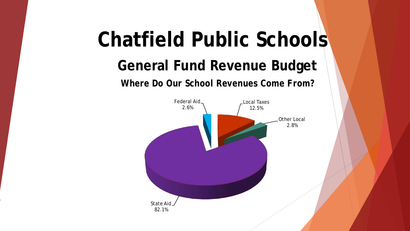#### **General Fund Revenue Budget**

*Where Do Our School Revenues Come From?*

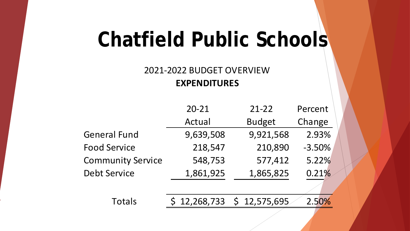#### 2021-2022 BUDGET OVERVIEW **EXPENDITURES**

|                          | $20 - 21$    | $21 - 22$     | Percent  |
|--------------------------|--------------|---------------|----------|
|                          | Actual       | <b>Budget</b> | Change   |
| <b>General Fund</b>      | 9,639,508    | 9,921,568     | 2.93%    |
| <b>Food Service</b>      | 218,547      | 210,890       | $-3.50%$ |
| <b>Community Service</b> | 548,753      | 577,412       | 5.22%    |
| <b>Debt Service</b>      | 1,861,925    | 1,865,825     | 0.21%    |
|                          |              |               |          |
| Totals                   | \$12,268,733 | \$12,575,695  | 2.50%    |
|                          |              |               |          |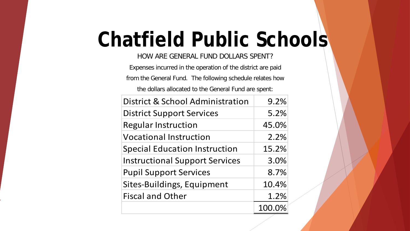HOW ARE GENERAL FUND DOLLARS SPENT?

Expenses incurred in the operation of the district are paid from the General Fund. The following schedule relates how the dollars allocated to the General Fund are spent:

| District & School Administration      | 9.2%   |
|---------------------------------------|--------|
| <b>District Support Services</b>      | 5.2%   |
| <b>Regular Instruction</b>            | 45.0%  |
| <b>Vocational Instruction</b>         | 2.2%   |
| <b>Special Education Instruction</b>  | 15.2%  |
| <b>Instructional Support Services</b> | 3.0%   |
| <b>Pupil Support Services</b>         | 8.7%   |
| Sites-Buildings, Equipment            | 10.4%  |
| <b>Fiscal and Other</b>               | 1.2%   |
|                                       | 100.0% |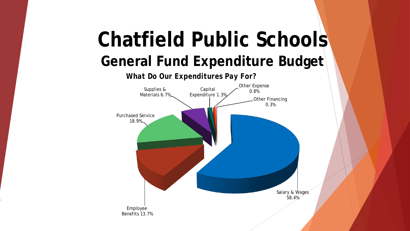## **General Fund Expenditure Budget Chatfield Public Schools**



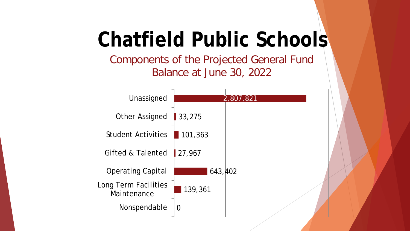Components of the Projected General Fund Balance at June 30, 2022

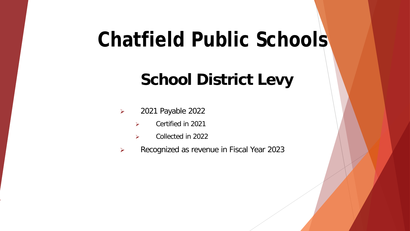#### **School District Levy**

- 2021 Payable 2022
	- $\triangleright$  Certified in 2021
	- Collected in 2022
- Recognized as revenue in Fiscal Year 2023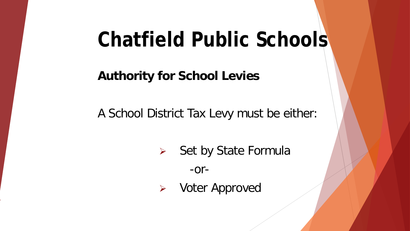**Authority for School Levies**

A School District Tax Levy must be either:

 $\triangleright$  Set by State Formula

-or-

Voter Approved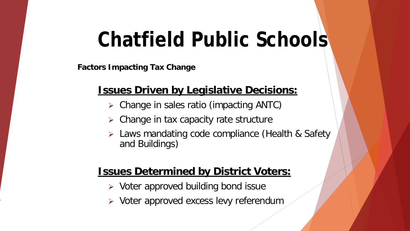**Factors Impacting Tax Change**

#### **Issues Driven by Legislative Decisions:**

- Change in sales ratio (impacting ANTC)
- $\triangleright$  Change in tax capacity rate structure
- > Laws mandating code compliance (Health & Safety and Buildings)

#### **Issues Determined by District Voters:**

- $\triangleright$  Voter approved building bond issue
- $\triangleright$  Voter approved excess levy referendum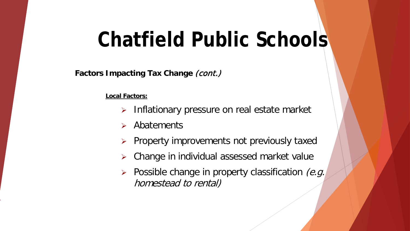**Factors Impacting Tax Change (cont.)** 

**Local Factors:**

- $\triangleright$  Inflationary pressure on real estate market
- $\triangleright$  Abatements
- $\triangleright$  Property improvements not previously taxed
- Change in individual assessed market value
- $\triangleright$  Possible change in property classification (e.g. homestead to rental)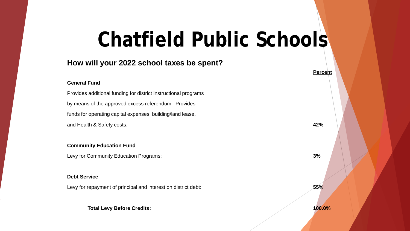#### **How will your 2022 school taxes be spent?**

#### **General Fund**

Provides additional funding for district instructional programs by means of the approved excess referendum. Provides funds for operating capital expenses, building/land lease, and Health & Safety costs: **42%**

#### **Community Education Fund**

Levy for Community Education Programs: **3%**

#### **Debt Service**

Levy for repayment of principal and interest on district debt: **55%**

**Total Levy Before Credits: 100.0%**

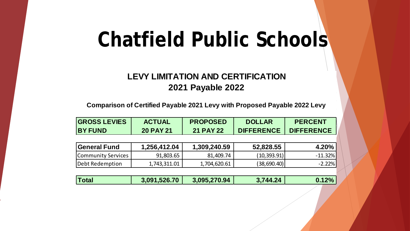#### **LEVY LIMITATION AND CERTIFICATION 2021 Payable 2022**

**Comparison of Certified Payable 2021 Levy with Proposed Payable 2022 Levy**

| <b>GROSS LEVIES</b><br><b>BY FUND</b> | <b>ACTUAL</b><br><b>20 PAY 21</b> | <b>PROPOSED</b><br><b>21 PAY 22</b> | <b>DOLLAR</b><br><b>DIFFERENCE</b> | <b>PERCENT</b><br><b>DIFFERENCE</b> |  |  |
|---------------------------------------|-----------------------------------|-------------------------------------|------------------------------------|-------------------------------------|--|--|
|                                       |                                   |                                     |                                    |                                     |  |  |
| <b>General Fund</b>                   | 1,256,412.04                      | 1,309,240.59                        | 52,828.55                          | 4.20%                               |  |  |
| Community Services                    | 91,803.65                         | 81,409.74                           | (10, 393.91)                       | $-11.32%$                           |  |  |
| Debt Redemption                       | 1,743,311.01                      | 1,704,620.61                        | (38,690.40)                        | $-2.22%$                            |  |  |
|                                       |                                   |                                     |                                    |                                     |  |  |
| <b>Total</b>                          | 3,091,526.70                      | 3,095,270.94                        | 3,744.24                           | 0.12%                               |  |  |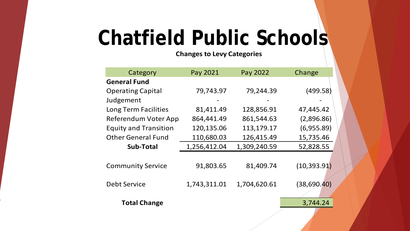#### **Changes to Levy Categories**

| Category                     | Pay 2021     | Pay 2022     | Change       |
|------------------------------|--------------|--------------|--------------|
| <b>General Fund</b>          |              |              |              |
| <b>Operating Capital</b>     | 79,743.97    | 79,244.39    | (499.58)     |
| Judgement                    |              |              |              |
| Long Term Facilities         | 81,411.49    | 128,856.91   | 47,445.42    |
| Referendum Voter App         | 864,441.49   | 861,544.63   | (2,896.86)   |
| <b>Equity and Transition</b> | 120,135.06   | 113,179.17   | (6,955.89)   |
| <b>Other General Fund</b>    | 110,680.03   | 126,415.49   | 15,735.46    |
| <b>Sub-Total</b>             | 1,256,412.04 | 1,309,240.59 | 52,828.55    |
| <b>Community Service</b>     | 91,803.65    | 81,409.74    | (10, 393.91) |
| <b>Debt Service</b>          | 1,743,311.01 | 1,704,620.61 | (38, 690.40) |
| <b>Total Change</b>          |              |              | 3,744.24     |
|                              |              |              |              |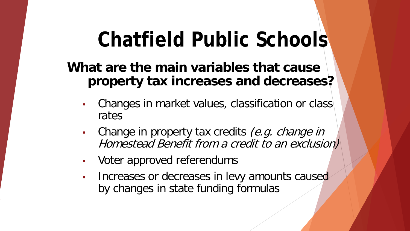#### **What are the main variables that cause property tax increases and decreases?**

- Changes in market values, classification or class rates
- Change in property tax credits (e.g. change in Homestead Benefit from a credit to an exclusion)
- Voter approved referendums
- Increases or decreases in levy amounts caused by changes in state funding formulas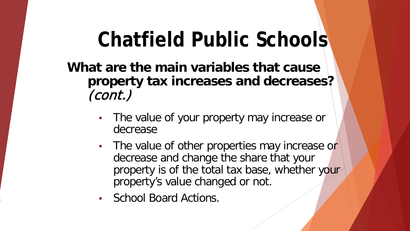**What are the main variables that cause property tax increases and decreases?**  (cont.)

- The value of your property may increase or decrease
- The value of other properties may increase or decrease and change the share that your property is of the total tax base, whether your property's value changed or not.
- School Board Actions.